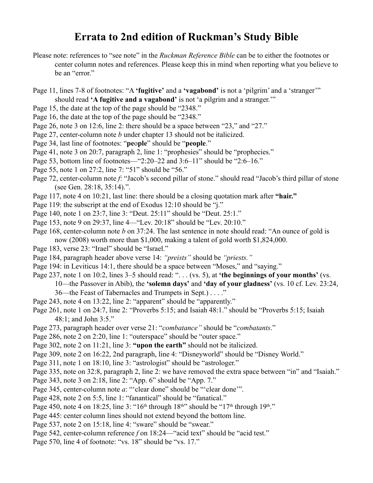## **Errata to 2nd edition of Ruckman's Study Bible**

- Please note: references to "see note" in the *Ruckman Reference Bible* can be to either the footnotes or center column notes and references. Please keep this in mind when reporting what you believe to be an "error."
- Page 11, lines 7-8 of footnotes: "A **'fugitive'** and a **'vagabond'** is not a 'pilgrim' and a 'stranger'" should read **'A fugitive and a vagabond'** is not 'a pilgrim and a stranger.'"
- Page 15, the date at the top of the page should be "2348."
- Page 16, the date at the top of the page should be "2348."
- Page 26, note 3 on 12:6, line 2: there should be a space between "23," and "27."
- Page 27, center-column note *b* under chapter 13 should not be italicized.
- Page 34, last line of footnotes: "**pe**o**ple**" should be "**people**."
- Page 41, note 3 on 20:7, paragraph 2, line 1: "prophesies" should be "prophecies."
- Page 53, bottom line of footnotes—"2:20–22 and 3:6–11" should be "2:6–16."
- Page 55, note 1 on 27:2, line 7: "51" should be "56."
- Page 72, center-column note *f*: "Jacob's second pillar of stone." should read "Jacob's third pillar of stone (see Gen. 28:18, 35:14).".
- Page 117, note 4 on 10:21, last line: there should be a closing quotation mark after **"hair."**
- Page 119: the subscript at the end of Exodus 12:10 should be "j."
- Page 140, note 1 on 23:7, line 3: "Deut. 25:11" should be "Deut. 25:1."
- Page 153, note 9 on 29:37, line 4—"Lev. 20:18" should be "Lev. 20:10."
- Page 168, center-column note *b* on 37:24. The last sentence in note should read: "An ounce of gold is now (2008) worth more than \$1,000, making a talent of gold worth \$1,824,000.
- Page 183, verse 23: "Irael" should be "Israel."
- Page 184, paragraph header above verse 14: *"preists"* should be *"priests."*
- Page 194: in Leviticus 14:1, there should be a space between "Moses," and "saying."
- Page 237, note 1 on 10:2, lines 3–5 should read: ". . . (vs. 5), at **'the beginnings of your months'** (vs.

10—the Passover in Abib), the **'solemn days'** and **'day of your gladness'** (vs. 10 cf. Lev. 23:24,

- 36—the Feast of Tabernacles and Trumpets in Sept.) . . . ."
- Page 243, note 4 on 13:22, line 2: "apparent" should be "apparently."
- Page 261, note 1 on 24:7, line 2: "Proverbs 5:15; and Isaiah 48:1." should be "Proverbs 5:15; Isaiah 48:1; and John 3:5."
- Page 273, paragraph header over verse 21: "*combatance"* should be "*combatants*."
- Page 286, note 2 on 2:20, line 1: "outerspace" should be "outer space."
- Page 302, note 2 on 11:21, line 3: **"upon the earth"** should not be italicized.
- Page 309, note 2 on 16:22, 2nd paragraph, line 4: "Disneyworld" should be "Disney World."
- Page 311, note 1 on 18:10, line 3: "astrologist" should be "astrologer."
- Page 335, note on 32:8, paragraph 2, line 2: we have removed the extra space between "in" and "Isaiah."
- Page 343, note 3 on 2:18, line 2: "App. 6" should be "App. 7."
- Page 345, center-column note *a*: "'clear done" should be "'clear done".
- Page 428, note 2 on 5:5, line 1: "fanantical" should be "fanatical."
- Page 450, note 4 on 18:25, line 3: "16<sup>th</sup> through  $18<sup>th</sup>$ " should be "17<sup>th</sup> through  $19<sup>th</sup>$ ."
- Page 445: center column lines should not extend beyond the bottom line.
- Page 537, note 2 on 15:18, line 4: "sware" should be "swear."
- Page 542, center-column reference *f* on 18:24—"acid text" should be "acid test."
- Page 570, line 4 of footnote: "vs. 18" should be "vs. 17."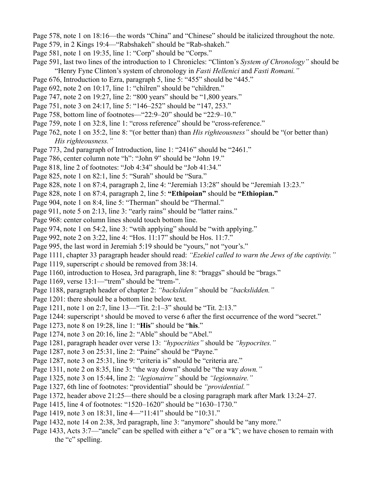- Page 578, note 1 on 18:16—the words "China" and "Chinese" should be italicized throughout the note.
- Page 579, in 2 Kings 19:4—"Rabshakeh" should be "Rab-shakeh."
- Page 581, note 1 on 19:35, line 1: "Corp" should be "Corps."
- Page 591, last two lines of the introduction to 1 Chronicles: "Clinton's *System of Chronology"* should be "Henry Fyne Clinton's system of chronology in *Fasti Hellenici* and *Fasti Romani."*
- Page 676, Introduction to Ezra, paragraph 5, line 5: "455" should be "445."
- Page 692, note 2 on 10:17, line 1: "chilren" should be "children."
- Page 747, note 2 on 19:27, line 2: "800 years" should be "1,800 years."
- Page 751, note 3 on 24:17, line 5: "146–252" should be "147, 253."
- Page 758, bottom line of footnotes—"22:9–20" should be "22:9–10."
- Page 759, note 1 on 32:8, line 1: "cross reference" should be "cross-reference."
- Page 762, note 1 on 35:2, line 8: "(or better than) than *His righteousness"* should be "(or better than) *His righteousness."*
- Page 773, 2nd paragraph of Introduction, line 1: "2416" should be "2461."
- Page 786, center column note "h": "John 9" should be "John 19."
- Page 818, line 2 of footnotes: "Job 4:34" should be "Job 41:34."
- Page 825, note 1 on 82:1, line 5: "Surah" should be "Sura."
- Page 828, note 1 on 87:4, paragraph 2, line 4: "Jeremiah 13:28" should be "Jeremiah 13:23."
- Page 828, note 1 on 87:4, paragraph 2, line 5: **"Ethipoian"** should be **"Ethiopian."**
- Page 904, note 1 on 8:4, line 5: "Therman" should be "Thermal."
- page 911, note 5 on 2:13, line 3: "early rains" should be "latter rains."
- Page 968: center column lines should touch bottom line.
- Page 974, note 1 on 54:2, line 3: "wtih applying" should be "with applying."
- Page 992, note 2 on 3:22, line 4: "Hos. 11:17" should be Hos. 11:7."
- Page 995, the last word in Jeremiah 5:19 should be "yours," not "your's."
- Page 1111, chapter 33 paragraph header should read: *"Ezekiel called to warn the Jews of the captivity."*
- Page 1119, superscript *c* should be removed from 38:14.
- Page 1160, introduction to Hosea, 3rd paragraph, line 8: "braggs" should be "brags."
- Page 1169, verse 13:1—"trem" should be "trem-".
- Page 1188, paragraph header of chapter 2: *"backsliden"* should be *"backslidden."*
- Page 1201: there should be a bottom line below text.
- Page 1211, note 1 on 2:7, line 13—"Tit. 2:1–3" should be "Tit. 2:13."
- Page 1244: superscript <sup>a</sup> should be moved to verse 6 after the first occurrence of the word "secret."
- Page 1273, note 8 on 19:28, line 1: "**His**" should be "**his**."
- Page 1274, note 3 on 20:16, line 2: "Able" should be "Abel."
- Page 1281, paragraph header over verse 13: *"hypocrities"* should be *"hypocrites."*
- Page 1287, note 3 on 25:31, line 2: "Paine" should be "Payne."
- Page 1287, note 3 on 25:31, line 9: "criteria is" should be "criteria are."
- Page 1311, note 2 on 8:35, line 3: "the way down" should be "the way *down."*
- Page 1325, note 3 on 15:44, line 2: *"legionairre"* should be *"legionnaire."*
- Page 1327, 6th line of footnotes: "providential" should be *"providential."*
- Page 1372, header above 21:25—there should be a closing paragraph mark after Mark 13:24–27.
- Page 1415, line 4 of footnotes: "1520–1620" should be "1630–1730."
- Page 1419, note 3 on 18:31, line 4—"11:41" should be "10:31."
- Page 1432, note 14 on 2:38, 3rd paragraph, line 3: "anymore" should be "any more."
- Page 1433, Acts 3:7—"ancle" can be spelled with either a "c" or a "k"; we have chosen to remain with the "c" spelling.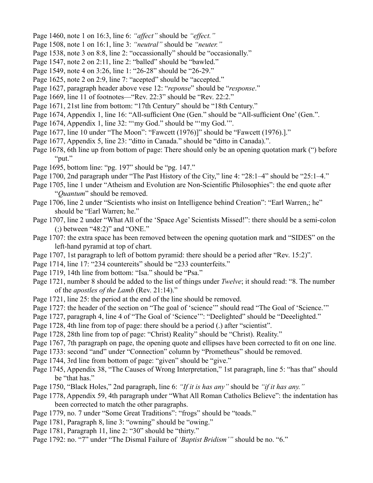- Page 1460, note 1 on 16:3, line 6: *"affect"* should be *"effect."*
- Page 1508, note 1 on 16:1, line 3: *"neutral"* should be *"neuter."*
- Page 1538, note 3 on 8:8, line 2: "occassionally" should be "occasionally."
- Page 1547, note 2 on 2:11, line 2: "balled" should be "bawled."
- Page 1549, note 4 on 3:26, line 1: "26-28" should be "26-29."
- Page 1625, note 2 on 2:9, line 7: "acepted" should be "accepted."
- Page 1627, paragraph header above vese 12: "*reponse*" should be "*response*."
- Page 1669, line 11 of footnotes—"Rev. 22:3" should be "Rev. 22:2."
- Page 1671, 21st line from bottom: "17th Century" should be "18th Century."
- Page 1674, Appendix 1, line 16: "All-sufficient One (Gen." should be "All-sufficient One' (Gen.".
- Page 1674, Appendix 1, line 32: ""my God." should be ""my God."".
- Page 1677, line 10 under "The Moon": "Fawcett (1976)]" should be "Fawcett (1976).]."
- Page 1677, Appendix 5, line 23: "ditto in Canada." should be "ditto in Canada).".
- Page 1678, 6th line up from bottom of page: There should only be an opening quotation mark (") before "put."
- Page 1695, bottom line: "pg. 197" should be "pg. 147."
- Page 1700, 2nd paragraph under "The Past History of the City," line 4: "28:1–4" should be "25:1–4."
- Page 1705, line 1 under "Atheism and Evolution are Non-Scientific Philosophies": the end quote after "*Quantum*" should be removed.
- Page 1706, line 2 under "Scientists who insist on Intelligence behind Creation": "Earl Warren,; he" should be "Earl Warren; he."
- Page 1707, line 2 under "What All of the 'Space Age' Scientists Missed!": there should be a semi-colon (;) between "48:2)" and "ONE."
- Page 1707: the extra space has been removed between the opening quotation mark and "SIDES" on the left-hand pyramid at top of chart.
- Page 1707, 1st paragraph to left of bottom pyramid: there should be a period after "Rev. 15:2)".
- Page 1714, line 17: "234 countereits" should be "233 counterfeits."
- Page 1719, 14th line from bottom: "Isa." should be "Psa."
- Page 1721, number 8 should be added to the list of things under *Twelve*; it should read: "8. The number of the *apostles of the Lamb* (Rev. 21:14)."
- Page 1721, line 25: the period at the end of the line should be removed.
- Page 1727: the header of the section on "The goal of 'science'" should read "The Goal of 'Science.'"
- Page 1727, paragraph 4, line 4 of "The Goal of 'Science'": "Deelighted" should be "Deeelighted."
- Page 1728, 4th line from top of page: there should be a period (.) after "scientist".
- Page 1728, 28th line from top of page: "Christ) Reality" should be "Christ). Reality."
- Page 1767, 7th paragraph on page, the opening quote and ellipses have been corrected to fit on one line.
- Page 1733: second "and" under "Connection" column by "Prometheus" should be removed.
- Page 1744, 3rd line from bottom of page: "given" should be "give."
- Page 1745, Appendix 38, "The Causes of Wrong Interpretation," 1st paragraph, line 5: "has that" should be "that has."
- Page 1750, "Black Holes," 2nd paragraph, line 6: *"If it is has any"* should be *"if it has any."*
- Page 1778, Appendix 59, 4th paragraph under "What All Roman Catholics Believe": the indentation has been corrected to match the other paragraphs.
- Page 1779, no. 7 under "Some Great Traditions": "frogs" should be "toads."
- Page 1781, Paragraph 8, line 3: "owning" should be "owing."
- Page 1781, Paragraph 11, line 2: "30" should be "thirty."
- Page 1792: no. "7" under "The Dismal Failure of *'Baptist Bridism'"* should be no. "6."